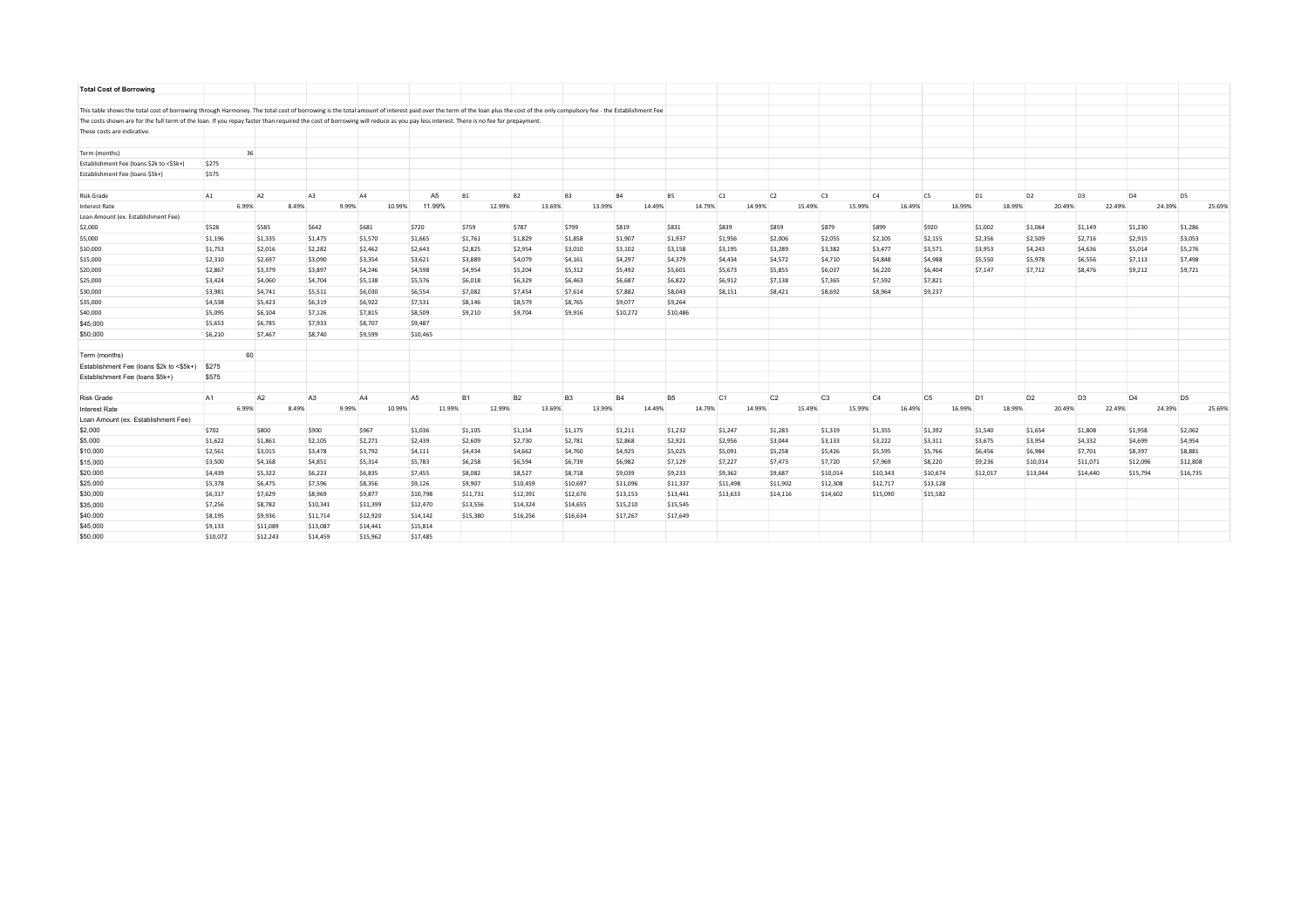| <b>Total Cost of Borrowing</b>                                                                                                                                                                                             |          |                |                |       |          |                |           |           |        |                |           |                  |                |                |                |                |                |                |                |                |                |        |                |  |
|----------------------------------------------------------------------------------------------------------------------------------------------------------------------------------------------------------------------------|----------|----------------|----------------|-------|----------|----------------|-----------|-----------|--------|----------------|-----------|------------------|----------------|----------------|----------------|----------------|----------------|----------------|----------------|----------------|----------------|--------|----------------|--|
|                                                                                                                                                                                                                            |          |                |                |       |          |                |           |           |        |                |           |                  |                |                |                |                |                |                |                |                |                |        |                |  |
| This table shows the total cost of borrowing through Harmoney. The total cost of borrowing is the total amount of interest paid over the term of the loan plus the cost of the only compulsory fee - the Establishment Fee |          |                |                |       |          |                |           |           |        |                |           |                  |                |                |                |                |                |                |                |                |                |        |                |  |
| The costs shown are for the full term of the loan. If you repay faster than required the cost of borrowing will reduce as you pay less interest. There is no fee for prepayment.                                           |          |                |                |       |          |                |           |           |        |                |           |                  |                |                |                |                |                |                |                |                |                |        |                |  |
| These costs are indicative.                                                                                                                                                                                                |          |                |                |       |          |                |           |           |        |                |           |                  |                |                |                |                |                |                |                |                |                |        |                |  |
| Term (months)                                                                                                                                                                                                              |          | 36             |                |       |          |                |           |           |        |                |           |                  |                |                |                |                |                |                |                |                |                |        |                |  |
| Establishment Fee (loans \$2k to <\$5k+)                                                                                                                                                                                   | \$275    |                |                |       |          |                |           |           |        |                |           |                  |                |                |                |                |                |                |                |                |                |        |                |  |
| Establishment Fee (loans \$5k+)                                                                                                                                                                                            | \$575    |                |                |       |          |                |           |           |        |                |           |                  |                |                |                |                |                |                |                |                |                |        |                |  |
| <b>Risk Grade</b>                                                                                                                                                                                                          | A1       | A <sub>2</sub> | A <sub>3</sub> |       | A4       | A <sub>5</sub> | <b>B1</b> | <b>B2</b> |        | B <sub>3</sub> | <b>B4</b> | <b>B5</b>        | C1             | C <sub>2</sub> | C3             | C4             | C <sub>5</sub> | D <sub>1</sub> | D <sub>2</sub> | D <sub>3</sub> | D <sub>4</sub> |        | D <sub>5</sub> |  |
| <b>Interest Rate</b>                                                                                                                                                                                                       |          | 6.99%          | 8.49%          | 9.99% | 10.99%   | 11.99%         |           | 12.99%    | 13.69% | 13.99%         |           | 14.49%<br>14.79% | 14.99%         | 15.49%         | 15.99%         | 16.49%         | 16.99%         |                | 18.99%         | 20.49%         | 22.49%         | 24.39% | 25.69%         |  |
| Loan Amount (ex. Establishment Fee)                                                                                                                                                                                        |          |                |                |       |          |                |           |           |        |                |           |                  |                |                |                |                |                |                |                |                |                |        |                |  |
| \$2,000                                                                                                                                                                                                                    | \$528    | \$585          | \$642          |       | \$681    | \$720          | \$759     | \$787     |        | \$799          | \$819     | \$831            | \$839          | \$859          | \$879          | \$899          | \$920          | \$1,002        | \$1,064        | \$1,149        | \$1,230        |        | \$1,286        |  |
| \$5,000                                                                                                                                                                                                                    | \$1,196  | \$1,335        | \$1,475        |       | \$1,570  | \$1,665        | \$1,761   | \$1,829   |        | \$1,858        | \$1,907   | \$1,937          | \$1,956        | \$2,006        | \$2,055        | \$2,105        | \$2,155        | \$2,356        | \$2,509        | \$2,716        | \$2,915        |        | \$3,053        |  |
| \$10,000                                                                                                                                                                                                                   | \$1,753  | \$2,016        | \$2,282        |       | \$2,462  | \$2,643        | \$2,825   | \$2,954   |        | \$3,010        | \$3,102   | \$3,158          | \$3,195        | \$3,289        | \$3,382        | \$3,477        | \$3,571        | \$3,953        | \$4,243        | \$4,636        | \$5,014        |        | \$5,276        |  |
| \$15,000                                                                                                                                                                                                                   | \$2,310  | \$2,697        | \$3,090        |       | \$3,354  | \$3,621        | \$3,889   | \$4,079   |        | \$4,161        | \$4,297   | \$4,379          | \$4,434        | \$4,572        | \$4,710        | \$4,848        | \$4,988        | \$5,550        | \$5,978        | \$6,556        | \$7,113        |        | \$7,498        |  |
| \$20,000                                                                                                                                                                                                                   | \$2,867  | \$3,379        | \$3,897        |       | \$4,246  | \$4,598        | \$4,954   | \$5,204   |        | \$5,312        | \$5,492   | \$5,601          | \$5,673        | \$5,855        | \$6,037        | \$6,220        | \$6,404        | \$7,147        | \$7,712        | \$8,476        | \$9,212        |        | \$9,721        |  |
| \$25,000                                                                                                                                                                                                                   | \$3,424  | \$4,060        | \$4,704        |       | \$5,138  | \$5,576        | \$6,018   | \$6,329   |        | \$6,463        | \$6,687   | \$6,822          | \$6,912        | \$7,138        | \$7,365        | \$7,592        | \$7,821        |                |                |                |                |        |                |  |
| \$30,000                                                                                                                                                                                                                   | \$3,981  | \$4,741        | \$5,511        |       | \$6,030  | \$6,554        | \$7,082   | \$7,454   |        | \$7,614        | \$7,882   | \$8,043          | \$8,151        | \$8,421        | \$8,692        | \$8,964        | \$9,237        |                |                |                |                |        |                |  |
| \$35,000                                                                                                                                                                                                                   | \$4,538  | \$5,423        | \$6,319        |       | \$6,922  | \$7,531        | \$8,146   | \$8,579   |        | \$8,765        | \$9,077   | \$9,264          |                |                |                |                |                |                |                |                |                |        |                |  |
| \$40,000                                                                                                                                                                                                                   | \$5,095  | \$6,104        | \$7,126        |       | \$7,815  | \$8,509        | \$9,210   | \$9,704   |        | \$9,916        | \$10,272  | \$10,486         |                |                |                |                |                |                |                |                |                |        |                |  |
| \$45,000                                                                                                                                                                                                                   | \$5,653  | \$6,785        | \$7,933        |       | \$8,707  | \$9,487        |           |           |        |                |           |                  |                |                |                |                |                |                |                |                |                |        |                |  |
| \$50,000                                                                                                                                                                                                                   | \$6,210  | \$7,467        | \$8,740        |       | \$9,599  | \$10,465       |           |           |        |                |           |                  |                |                |                |                |                |                |                |                |                |        |                |  |
| Term (months)                                                                                                                                                                                                              |          | 60             |                |       |          |                |           |           |        |                |           |                  |                |                |                |                |                |                |                |                |                |        |                |  |
| Establishment Fee (loans \$2k to <\$5k+)                                                                                                                                                                                   | \$275    |                |                |       |          |                |           |           |        |                |           |                  |                |                |                |                |                |                |                |                |                |        |                |  |
| Establishment Fee (loans \$5k+)                                                                                                                                                                                            | \$575    |                |                |       |          |                |           |           |        |                |           |                  |                |                |                |                |                |                |                |                |                |        |                |  |
| <b>Risk Grade</b>                                                                                                                                                                                                          | A1       | A <sub>2</sub> | A <sub>3</sub> |       | A4       | A <sub>5</sub> | <b>B1</b> | <b>B2</b> |        | B <sub>3</sub> | <b>B4</b> | <b>B5</b>        | C <sub>1</sub> | C <sub>2</sub> | C <sub>3</sub> | C <sub>4</sub> | C <sub>5</sub> | D <sub>1</sub> | D <sub>2</sub> | D <sub>3</sub> | D <sub>4</sub> |        | D <sub>5</sub> |  |
| <b>Interest Rate</b>                                                                                                                                                                                                       |          | 6.99%          | 8.49%          | 9.99% | 10.99%   | 11.99%         |           | 12.99%    | 13.69% | 13.99%         |           | 14.79%<br>14.49% | 14.99%         | 15.49%         | 15.99%         | 16.49%         | 16.99%         |                | 18.99%         | 20.49%         | 22.49%         | 24.39% | 25.69%         |  |
| Loan Amount (ex. Establishment Fee)                                                                                                                                                                                        |          |                |                |       |          |                |           |           |        |                |           |                  |                |                |                |                |                |                |                |                |                |        |                |  |
| \$2,000                                                                                                                                                                                                                    | \$702    | \$800          | \$900          |       | \$967    | \$1,036        | \$1,105   | \$1,154   |        | \$1,175        | \$1,211   | \$1,232          | \$1,247        | \$1,283        | \$1,319        | \$1,355        | \$1,392        | \$1,540        | \$1,654        | \$1,808        | \$1,958        |        | \$2,062        |  |
| \$5,000                                                                                                                                                                                                                    | \$1,622  | \$1,861        | \$2,105        |       | \$2,271  | \$2,439        | \$2,609   | \$2,730   |        | \$2,781        | \$2,868   | \$2,921          | \$2,956        | \$3,044        | \$3,133        | \$3,222        | \$3,311        | \$3,675        | \$3,954        | \$4,332        | \$4,699        |        | \$4,954        |  |
| \$10,000                                                                                                                                                                                                                   | \$2,561  | \$3,015        | \$3,478        |       | \$3,792  | \$4,111        | \$4,434   | \$4,662   |        | \$4,760        | \$4,925   | \$5,025          | \$5,091        | \$5,258        | \$5,426        | \$5,595        | \$5,766        | \$6,456        | \$6,984        | \$7,701        | \$8,397        |        | \$8,881        |  |
| \$15,000                                                                                                                                                                                                                   | \$3,500  | \$4,168        | \$4,851        |       | \$5,314  | \$5,783        | \$6,258   | \$6,594   |        | \$6,739        | \$6,982   | \$7,129          | \$7,227        | \$7,473        | \$7,720        | \$7,969        | \$8,220        | \$9,236        | \$10,014       | \$11,071       | \$12,096       |        | \$12,808       |  |
| \$20,000                                                                                                                                                                                                                   | \$4,439  | \$5,322        | \$6,223        |       | \$6,835  | \$7,455        | \$8,082   | \$8,527   |        | \$8,718        | \$9,039   | \$9,233          | \$9,362        | \$9,687        | \$10,014       | \$10,343       | \$10,674       | \$12,017       | \$13,044       | \$14,440       | \$15,794       |        | \$16,735       |  |
| \$25,000                                                                                                                                                                                                                   | \$5,378  | \$6,475        | \$7,596        |       | \$8,356  | \$9,126        | \$9,907   | \$10,459  |        | \$10,697       | \$11,096  | \$11,337         | \$11,498       | \$11,902       | \$12,308       | \$12,717       | \$13,128       |                |                |                |                |        |                |  |
| \$30,000                                                                                                                                                                                                                   | \$6,317  | \$7,629        | \$8,969        |       | \$9,877  | \$10,798       | \$11,731  | \$12,391  |        | \$12,676       | \$13,153  | \$13,441         | \$13,633       | \$14,116       | \$14,602       | \$15,090       | \$15,582       |                |                |                |                |        |                |  |
| \$35,000                                                                                                                                                                                                                   | \$7,256  | \$8,782        | \$10,341       |       | \$11,399 | \$12,470       | \$13,556  | \$14,324  |        | \$14,655       | \$15,210  | \$15,545         |                |                |                |                |                |                |                |                |                |        |                |  |
| \$40,000                                                                                                                                                                                                                   | \$8,195  | \$9,936        | \$11,714       |       | \$12,920 | \$14,142       | \$15,380  | \$16,256  |        | \$16,634       | \$17,267  | \$17,649         |                |                |                |                |                |                |                |                |                |        |                |  |
| \$45,000                                                                                                                                                                                                                   | \$9,133  | \$11,089       | \$13,087       |       | \$14,441 | \$15,814       |           |           |        |                |           |                  |                |                |                |                |                |                |                |                |                |        |                |  |
| \$50,000                                                                                                                                                                                                                   | \$10,072 | \$12,243       | \$14,459       |       | \$15,962 | \$17,485       |           |           |        |                |           |                  |                |                |                |                |                |                |                |                |                |        |                |  |